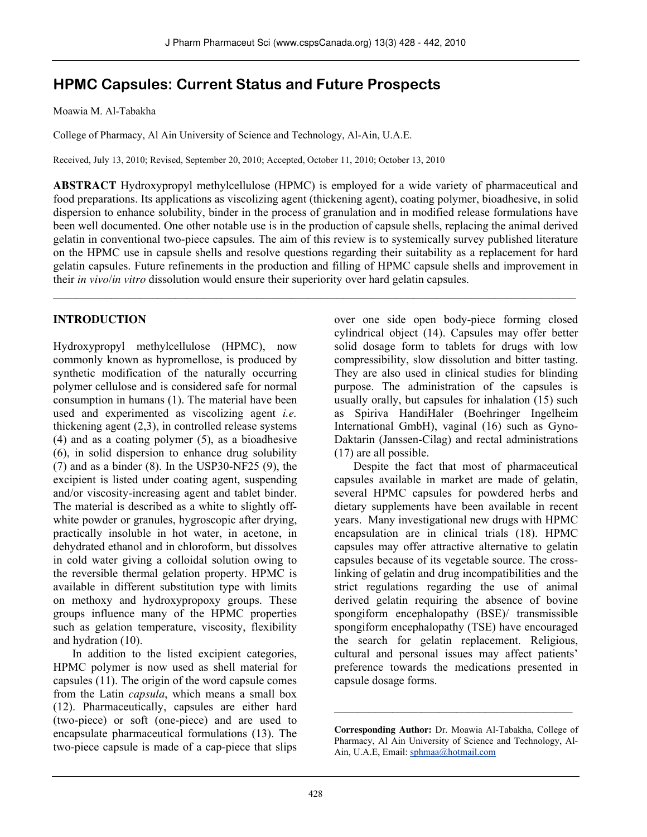# **HPMC Capsules: Current Status and Future Prospects**

Moawia M. Al-Tabakha

College of Pharmacy, Al Ain University of Science and Technology, Al-Ain, U.A.E.

Received, July 13, 2010; Revised, September 20, 2010; Accepted, October 11, 2010; October 13, 2010

**ABSTRACT** Hydroxypropyl methylcellulose (HPMC) is employed for a wide variety of pharmaceutical and food preparations. Its applications as viscolizing agent (thickening agent), coating polymer, bioadhesive, in solid dispersion to enhance solubility, binder in the process of granulation and in modified release formulations have been well documented. One other notable use is in the production of capsule shells, replacing the animal derived gelatin in conventional two-piece capsules. The aim of this review is to systemically survey published literature on the HPMC use in capsule shells and resolve questions regarding their suitability as a replacement for hard gelatin capsules. Future refinements in the production and filling of HPMC capsule shells and improvement in their *in vivo*/*in vitro* dissolution would ensure their superiority over hard gelatin capsules.

\_\_\_\_\_\_\_\_\_\_\_\_\_\_\_\_\_\_\_\_\_\_\_\_\_\_\_\_\_\_\_\_\_\_\_\_\_\_\_\_\_\_\_\_\_\_\_\_\_\_\_\_\_\_\_\_\_\_\_\_\_\_\_\_\_\_\_\_\_\_\_\_\_\_\_\_\_\_\_\_\_\_\_\_\_\_\_\_\_\_

### **INTRODUCTION**

Hydroxypropyl methylcellulose (HPMC), now commonly known as hypromellose, is produced by synthetic modification of the naturally occurring polymer cellulose and is considered safe for normal consumption in humans (1). The material have been used and experimented as viscolizing agent *i.e.* thickening agent (2,3), in controlled release systems (4) and as a coating polymer (5), as a bioadhesive (6), in solid dispersion to enhance drug solubility (7) and as a binder (8). In the USP30-NF25 (9), the excipient is listed under coating agent, suspending and/or viscosity-increasing agent and tablet binder. The material is described as a white to slightly offwhite powder or granules, hygroscopic after drying, practically insoluble in hot water, in acetone, in dehydrated ethanol and in chloroform, but dissolves in cold water giving a colloidal solution owing to the reversible thermal gelation property. HPMC is available in different substitution type with limits on methoxy and hydroxypropoxy groups. These groups influence many of the HPMC properties such as gelation temperature, viscosity, flexibility and hydration (10).

In addition to the listed excipient categories, HPMC polymer is now used as shell material for capsules (11). The origin of the word capsule comes from the Latin *capsula*, which means a small box (12). Pharmaceutically, capsules are either hard (two-piece) or soft (one-piece) and are used to encapsulate pharmaceutical formulations (13). The two-piece capsule is made of a cap-piece that slips over one side open body-piece forming closed cylindrical object (14). Capsules may offer better solid dosage form to tablets for drugs with low compressibility, slow dissolution and bitter tasting. They are also used in clinical studies for blinding purpose. The administration of the capsules is usually orally, but capsules for inhalation (15) such as Spiriva HandiHaler (Boehringer Ingelheim International GmbH), vaginal (16) such as Gyno-Daktarin (Janssen-Cilag) and rectal administrations (17) are all possible.

Despite the fact that most of pharmaceutical capsules available in market are made of gelatin, several HPMC capsules for powdered herbs and dietary supplements have been available in recent years. Many investigational new drugs with HPMC encapsulation are in clinical trials (18). HPMC capsules may offer attractive alternative to gelatin capsules because of its vegetable source. The crosslinking of gelatin and drug incompatibilities and the strict regulations regarding the use of animal derived gelatin requiring the absence of bovine spongiform encephalopathy (BSE)/ transmissible spongiform encephalopathy (TSE) have encouraged the search for gelatin replacement. Religious, cultural and personal issues may affect patients' preference towards the medications presented in capsule dosage forms.

\_\_\_\_\_\_\_\_\_\_\_\_\_\_\_\_\_\_\_\_\_\_\_\_\_\_\_\_\_\_\_\_\_\_\_\_\_\_\_\_\_

**Corresponding Author:** Dr. Moawia Al-Tabakha, College of Pharmacy, Al Ain University of Science and Technology, Al-Ain, U.A.E, Email: sphmaa@hotmail.com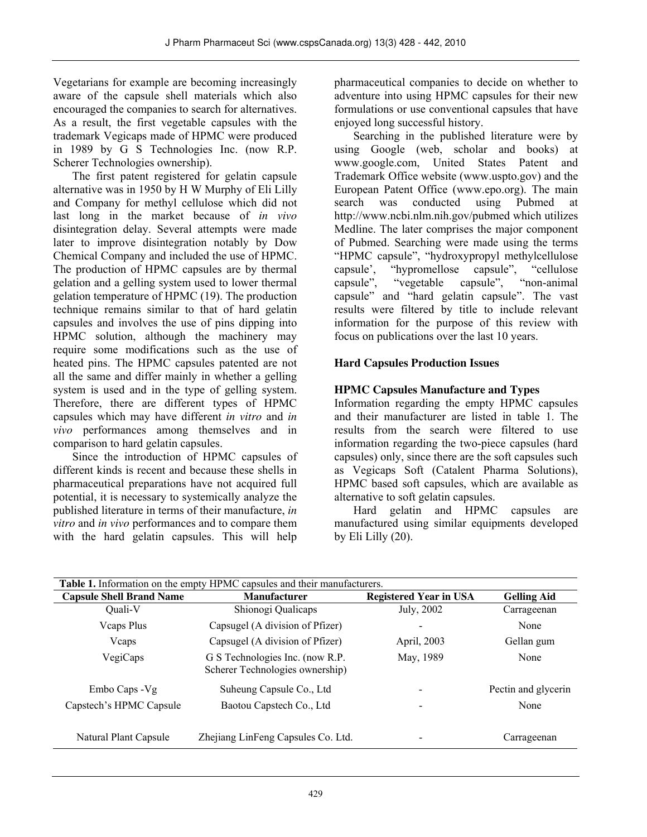Vegetarians for example are becoming increasingly aware of the capsule shell materials which also encouraged the companies to search for alternatives. As a result, the first vegetable capsules with the trademark Vegicaps made of HPMC were produced in 1989 by G S Technologies Inc. (now R.P. Scherer Technologies ownership).

The first patent registered for gelatin capsule alternative was in 1950 by H W Murphy of Eli Lilly and Company for methyl cellulose which did not last long in the market because of *in vivo* disintegration delay. Several attempts were made later to improve disintegration notably by Dow Chemical Company and included the use of HPMC. The production of HPMC capsules are by thermal gelation and a gelling system used to lower thermal gelation temperature of HPMC (19). The production technique remains similar to that of hard gelatin capsules and involves the use of pins dipping into HPMC solution, although the machinery may require some modifications such as the use of heated pins. The HPMC capsules patented are not all the same and differ mainly in whether a gelling system is used and in the type of gelling system. Therefore, there are different types of HPMC capsules which may have different *in vitro* and *in vivo* performances among themselves and in comparison to hard gelatin capsules.

Since the introduction of HPMC capsules of different kinds is recent and because these shells in pharmaceutical preparations have not acquired full potential, it is necessary to systemically analyze the published literature in terms of their manufacture, *in vitro* and *in vivo* performances and to compare them with the hard gelatin capsules. This will help pharmaceutical companies to decide on whether to adventure into using HPMC capsules for their new formulations or use conventional capsules that have enjoyed long successful history.

Searching in the published literature were by using Google (web, scholar and books) at www.google.com, United States Patent and Trademark Office website (www.uspto.gov) and the European Patent Office (www.epo.org). The main search was conducted using Pubmed at http://www.ncbi.nlm.nih.gov/pubmed which utilizes Medline. The later comprises the major component of Pubmed. Searching were made using the terms "HPMC capsule", "hydroxypropyl methylcellulose capsule", "cellulose" capsule', "hypromellose capsule", "cellulose capsule", "vegetable capsule", "non-animal capsule" and "hard gelatin capsule". The vast results were filtered by title to include relevant information for the purpose of this review with focus on publications over the last 10 years.

### **Hard Capsules Production Issues**

### **HPMC Capsules Manufacture and Types**

Information regarding the empty HPMC capsules and their manufacturer are listed in table  $1$ . The results from the search were filtered to use information regarding the two-piece capsules (hard capsules) only, since there are the soft capsules such as Vegicaps Soft (Catalent Pharma Solutions), HPMC based soft capsules, which are available as alternative to soft gelatin capsules.

Hard gelatin and HPMC capsules are manufactured using similar equipments developed by Eli Lilly (20).

| <b>Table 1.</b> Information on the empty HPMC capsules and their manufacturers. |                                                                     |                               |                     |  |
|---------------------------------------------------------------------------------|---------------------------------------------------------------------|-------------------------------|---------------------|--|
| <b>Capsule Shell Brand Name</b>                                                 | <b>Manufacturer</b>                                                 | <b>Registered Year in USA</b> | <b>Gelling Aid</b>  |  |
| Ouali-V                                                                         | Shionogi Qualicaps                                                  | July, 2002                    | Carrageenan         |  |
| <b>V</b> caps Plus                                                              | Capsugel (A division of Pfizer)                                     |                               | None                |  |
| Vcaps                                                                           | Capsugel (A division of Pfizer)                                     | April, 2003                   | Gellan gum          |  |
| VegiCaps                                                                        | G S Technologies Inc. (now R.P.)<br>Scherer Technologies ownership) | May, 1989                     | None                |  |
| Embo Caps - Vg                                                                  | Suheung Capsule Co., Ltd                                            | $\overline{\phantom{a}}$      | Pectin and glycerin |  |
| Capstech's HPMC Capsule                                                         | Baotou Capstech Co., Ltd                                            | $\overline{\phantom{a}}$      | None                |  |
| Natural Plant Capsule                                                           | Zhejiang LinFeng Capsules Co. Ltd.                                  |                               | Carrageenan         |  |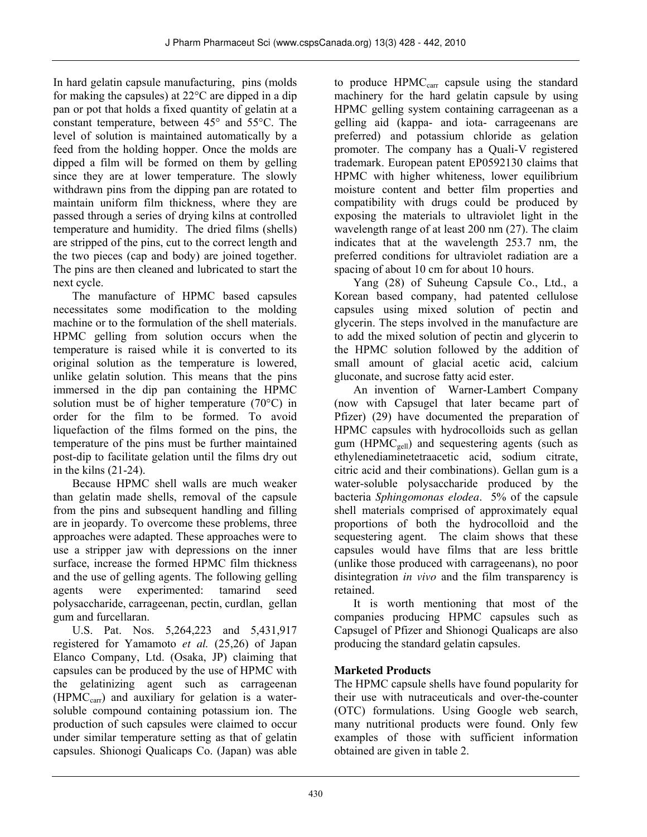In hard gelatin capsule manufacturing, pins (molds for making the capsules) at 22°C are dipped in a dip pan or pot that holds a fixed quantity of gelatin at a constant temperature, between 45° and 55°C. The level of solution is maintained automatically by a feed from the holding hopper. Once the molds are dipped a film will be formed on them by gelling since they are at lower temperature. The slowly withdrawn pins from the dipping pan are rotated to maintain uniform film thickness, where they are passed through a series of drying kilns at controlled temperature and humidity. The dried films (shells) are stripped of the pins, cut to the correct length and the two pieces (cap and body) are joined together. The pins are then cleaned and lubricated to start the next cycle.

The manufacture of HPMC based capsules necessitates some modification to the molding machine or to the formulation of the shell materials. HPMC gelling from solution occurs when the temperature is raised while it is converted to its original solution as the temperature is lowered, unlike gelatin solution. This means that the pins immersed in the dip pan containing the HPMC solution must be of higher temperature (70°C) in order for the film to be formed. To avoid liquefaction of the films formed on the pins, the temperature of the pins must be further maintained post-dip to facilitate gelation until the films dry out in the kilns (21-24).

Because HPMC shell walls are much weaker than gelatin made shells, removal of the capsule from the pins and subsequent handling and filling are in jeopardy. To overcome these problems, three approaches were adapted. These approaches were to use a stripper jaw with depressions on the inner surface, increase the formed HPMC film thickness and the use of gelling agents. The following gelling agents were experimented: tamarind seed polysaccharide, carrageenan, pectin, curdlan, gellan gum and furcellaran.

U.S. Pat. Nos. 5,264,223 and 5,431,917 registered for Yamamoto *et al.* (25,26) of Japan Elanco Company, Ltd. (Osaka, JP) claiming that capsules can be produced by the use of HPMC with the gelatinizing agent such as carrageenan  $(HPMC<sub>car</sub>)$  and auxiliary for gelation is a watersoluble compound containing potassium ion. The production of such capsules were claimed to occur under similar temperature setting as that of gelatin capsules. Shionogi Qualicaps Co. (Japan) was able

to produce  $HPMC<sub>carr</sub>$  capsule using the standard machinery for the hard gelatin capsule by using HPMC gelling system containing carrageenan as a gelling aid (kappa- and iota- carrageenans are preferred) and potassium chloride as gelation promoter. The company has a Quali-V registered trademark. European patent EP0592130 claims that HPMC with higher whiteness, lower equilibrium moisture content and better film properties and compatibility with drugs could be produced by exposing the materials to ultraviolet light in the wavelength range of at least 200 nm (27). The claim indicates that at the wavelength 253.7 nm, the preferred conditions for ultraviolet radiation are a spacing of about 10 cm for about 10 hours.

Yang (28) of Suheung Capsule Co., Ltd., a Korean based company, had patented cellulose capsules using mixed solution of pectin and glycerin. The steps involved in the manufacture are to add the mixed solution of pectin and glycerin to the HPMC solution followed by the addition of small amount of glacial acetic acid, calcium gluconate, and sucrose fatty acid ester.

An invention of Warner-Lambert Company (now with Capsugel that later became part of Pfizer) (29) have documented the preparation of HPMC capsules with hydrocolloids such as gellan gum (HPMC<sub>gell</sub>) and sequestering agents (such as ethylenediaminetetraacetic acid, sodium citrate, citric acid and their combinations). Gellan gum is a water-soluble polysaccharide produced by the bacteria *Sphingomonas elodea*. 5% of the capsule shell materials comprised of approximately equal proportions of both the hydrocolloid and the sequestering agent. The claim shows that these capsules would have films that are less brittle (unlike those produced with carrageenans), no poor disintegration *in vivo* and the film transparency is retained.

It is worth mentioning that most of the companies producing HPMC capsules such as Capsugel of Pfizer and Shionogi Qualicaps are also producing the standard gelatin capsules.

### **Marketed Products**

The HPMC capsule shells have found popularity for their use with nutraceuticals and over-the-counter (OTC) formulations. Using Google web search, many nutritional products were found. Only few examples of those with sufficient information obtained are given in table 2.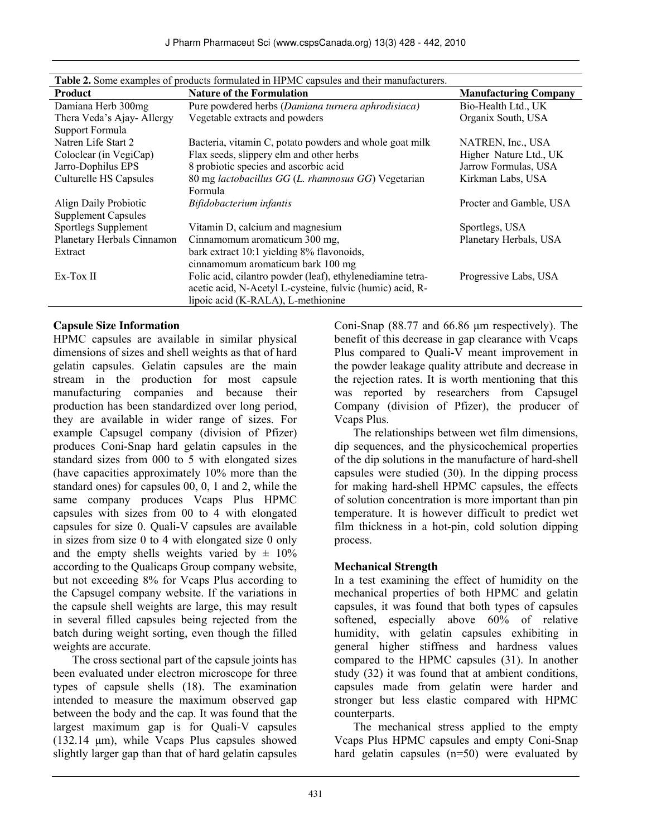| <b>Table 2.</b> Some examples of products formulated in HPMC capsules and their manufacturers. |                                                            |                              |  |
|------------------------------------------------------------------------------------------------|------------------------------------------------------------|------------------------------|--|
| <b>Product</b>                                                                                 | <b>Nature of the Formulation</b>                           | <b>Manufacturing Company</b> |  |
| Damiana Herb 300mg                                                                             | Pure powdered herbs (Damiana turnera aphrodisiaca)         | Bio-Health Ltd., UK          |  |
| Thera Veda's Ajay-Allergy                                                                      | Vegetable extracts and powders                             | Organix South, USA           |  |
| Support Formula                                                                                |                                                            |                              |  |
| Natren Life Start 2                                                                            | Bacteria, vitamin C, potato powders and whole goat milk    | NATREN, Inc., USA            |  |
| Coloclear (in VegiCap)                                                                         | Flax seeds, slippery elm and other herbs                   | Higher Nature Ltd., UK       |  |
| Jarro-Dophilus EPS                                                                             | 8 probiotic species and ascorbic acid                      | Jarrow Formulas, USA         |  |
| Culturelle HS Capsules                                                                         | 80 mg lactobacillus GG (L. rhamnosus GG) Vegetarian        | Kirkman Labs, USA            |  |
|                                                                                                | Formula                                                    |                              |  |
| Align Daily Probiotic                                                                          | Bifidobacterium infantis                                   | Procter and Gamble, USA      |  |
| <b>Supplement Capsules</b>                                                                     |                                                            |                              |  |
| Sportlegs Supplement                                                                           | Vitamin D, calcium and magnesium                           | Sportlegs, USA               |  |
| Planetary Herbals Cinnamon                                                                     | Cinnamomum aromaticum 300 mg,                              | Planetary Herbals, USA       |  |
| Extract                                                                                        | bark extract 10:1 yielding 8% flavonoids,                  |                              |  |
|                                                                                                | cinnamomum aromaticum bark 100 mg                          |                              |  |
| Ex-Tox II                                                                                      | Folic acid, cilantro powder (leaf), ethylenediamine tetra- | Progressive Labs, USA        |  |
|                                                                                                | acetic acid, N-Acetyl L-cysteine, fulvic (humic) acid, R-  |                              |  |
|                                                                                                | lipoic acid (K-RALA), L-methionine                         |                              |  |

| <b>Table 2.</b> Some examples of products formulated in HPMC capsules and their manufacturers. |
|------------------------------------------------------------------------------------------------|

### **Capsule Size Information**

HPMC capsules are available in similar physical dimensions of sizes and shell weights as that of hard gelatin capsules. Gelatin capsules are the main stream in the production for most capsule manufacturing companies and because their production has been standardized over long period, they are available in wider range of sizes. For example Capsugel company (division of Pfizer) produces Coni-Snap hard gelatin capsules in the standard sizes from 000 to 5 with elongated sizes (have capacities approximately 10% more than the standard ones) for capsules 00, 0, 1 and 2, while the same company produces Vcaps Plus HPMC capsules with sizes from 00 to 4 with elongated capsules for size 0. Quali-V capsules are available in sizes from size 0 to 4 with elongated size 0 only and the empty shells weights varied by  $\pm$  10% according to the Qualicaps Group company website, but not exceeding 8% for Vcaps Plus according to the Capsugel company website. If the variations in the capsule shell weights are large, this may result in several filled capsules being rejected from the batch during weight sorting, even though the filled weights are accurate.

The cross sectional part of the capsule joints has been evaluated under electron microscope for three types of capsule shells (18). The examination intended to measure the maximum observed gap between the body and the cap. It was found that the largest maximum gap is for Quali-V capsules (132.14 μm), while Vcaps Plus capsules showed slightly larger gap than that of hard gelatin capsules Coni-Snap (88.77 and 66.86 μm respectively). The benefit of this decrease in gap clearance with Vcaps Plus compared to Quali-V meant improvement in the powder leakage quality attribute and decrease in the rejection rates. It is worth mentioning that this was reported by researchers from Capsugel Company (division of Pfizer), the producer of Vcaps Plus.

The relationships between wet film dimensions, dip sequences, and the physicochemical properties of the dip solutions in the manufacture of hard-shell capsules were studied (30). In the dipping process for making hard-shell HPMC capsules, the effects of solution concentration is more important than pin temperature. It is however difficult to predict wet film thickness in a hot-pin, cold solution dipping process.

### **Mechanical Strength**

In a test examining the effect of humidity on the mechanical properties of both HPMC and gelatin capsules, it was found that both types of capsules softened, especially above 60% of relative humidity, with gelatin capsules exhibiting in general higher stiffness and hardness values compared to the HPMC capsules (31). In another study (32) it was found that at ambient conditions, capsules made from gelatin were harder and stronger but less elastic compared with HPMC counterparts.

The mechanical stress applied to the empty Vcaps Plus HPMC capsules and empty Coni-Snap hard gelatin capsules (n=50) were evaluated by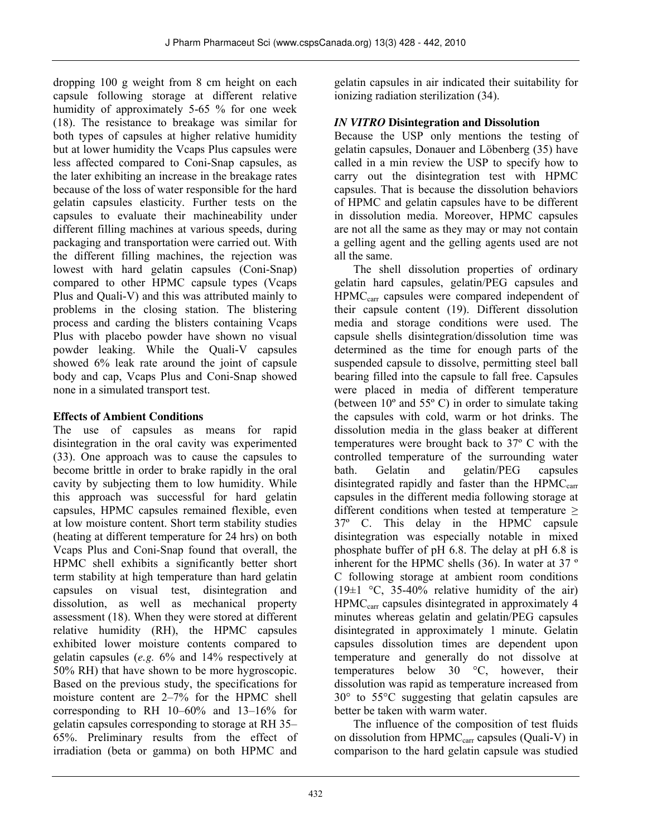dropping 100 g weight from 8 cm height on each capsule following storage at different relative humidity of approximately 5-65 % for one week (18). The resistance to breakage was similar for both types of capsules at higher relative humidity but at lower humidity the Vcaps Plus capsules were less affected compared to Coni-Snap capsules, as the later exhibiting an increase in the breakage rates because of the loss of water responsible for the hard gelatin capsules elasticity. Further tests on the capsules to evaluate their machineability under different filling machines at various speeds, during packaging and transportation were carried out. With the different filling machines, the rejection was lowest with hard gelatin capsules (Coni-Snap) compared to other HPMC capsule types (Vcaps Plus and Quali-V) and this was attributed mainly to problems in the closing station. The blistering process and carding the blisters containing Vcaps Plus with placebo powder have shown no visual powder leaking. While the Quali-V capsules showed 6% leak rate around the joint of capsule body and cap, Vcaps Plus and Coni-Snap showed none in a simulated transport test.

### **Effects of Ambient Conditions**

The use of capsules as means for rapid disintegration in the oral cavity was experimented (33). One approach was to cause the capsules to become brittle in order to brake rapidly in the oral cavity by subjecting them to low humidity. While this approach was successful for hard gelatin capsules, HPMC capsules remained flexible, even at low moisture content. Short term stability studies (heating at different temperature for 24 hrs) on both Vcaps Plus and Coni-Snap found that overall, the HPMC shell exhibits a significantly better short term stability at high temperature than hard gelatin capsules on visual test, disintegration and dissolution, as well as mechanical property assessment (18). When they were stored at different relative humidity (RH), the HPMC capsules exhibited lower moisture contents compared to gelatin capsules (*e.g.* 6% and 14% respectively at 50% RH) that have shown to be more hygroscopic. Based on the previous study, the specifications for moisture content are 2–7% for the HPMC shell corresponding to RH 10–60% and 13–16% for gelatin capsules corresponding to storage at RH 35– 65%. Preliminary results from the effect of irradiation (beta or gamma) on both HPMC and gelatin capsules in air indicated their suitability for ionizing radiation sterilization (34).

## *IN VITRO* **Disintegration and Dissolution**

Because the USP only mentions the testing of gelatin capsules, Donauer and Löbenberg (35) have called in a min review the USP to specify how to carry out the disintegration test with HPMC capsules. That is because the dissolution behaviors of HPMC and gelatin capsules have to be different in dissolution media. Moreover, HPMC capsules are not all the same as they may or may not contain a gelling agent and the gelling agents used are not all the same.

The shell dissolution properties of ordinary gelatin hard capsules, gelatin/PEG capsules and HPMC<sub>carr</sub> capsules were compared independent of their capsule content (19). Different dissolution media and storage conditions were used. The capsule shells disintegration/dissolution time was determined as the time for enough parts of the suspended capsule to dissolve, permitting steel ball bearing filled into the capsule to fall free. Capsules were placed in media of different temperature (between 10º and 55º C) in order to simulate taking the capsules with cold, warm or hot drinks. The dissolution media in the glass beaker at different temperatures were brought back to 37º C with the controlled temperature of the surrounding water bath. Gelatin and gelatin/PEG capsules disintegrated rapidly and faster than the  $HPMC<sub>carr</sub>$ capsules in the different media following storage at different conditions when tested at temperature  $\geq$ 37º C. This delay in the HPMC capsule disintegration was especially notable in mixed phosphate buffer of pH 6.8. The delay at pH 6.8 is inherent for the HPMC shells (36). In water at 37 º C following storage at ambient room conditions  $(19\pm1~\degree C, 35\text{-}40\%$  relative humidity of the air) HPMC<sub>carr</sub> capsules disintegrated in approximately 4 minutes whereas gelatin and gelatin/PEG capsules disintegrated in approximately 1 minute. Gelatin capsules dissolution times are dependent upon temperature and generally do not dissolve at temperatures below 30 °C, however, their dissolution was rapid as temperature increased from 30° to 55°C suggesting that gelatin capsules are better be taken with warm water.

The influence of the composition of test fluids on dissolution from HPMC<sub>carr</sub> capsules (Quali-V) in comparison to the hard gelatin capsule was studied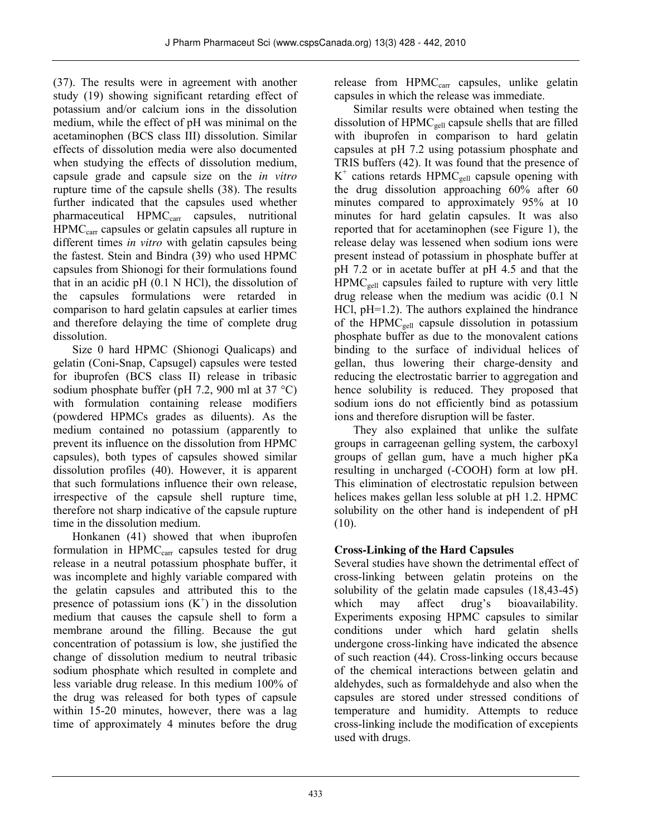(37). The results were in agreement with another study (19) showing significant retarding effect of potassium and/or calcium ions in the dissolution medium, while the effect of pH was minimal on the acetaminophen (BCS class III) dissolution. Similar effects of dissolution media were also documented when studying the effects of dissolution medium, capsule grade and capsule size on the *in vitro* rupture time of the capsule shells (38). The results further indicated that the capsules used whether pharmaceutical HPMC<sub>carr</sub> capsules, nutritional HPMC<sub>carr</sub> capsules or gelatin capsules all rupture in different times *in vitro* with gelatin capsules being the fastest. Stein and Bindra (39) who used HPMC capsules from Shionogi for their formulations found that in an acidic pH (0.1 N HCl), the dissolution of the capsules formulations were retarded in comparison to hard gelatin capsules at earlier times and therefore delaying the time of complete drug dissolution.

Size 0 hard HPMC (Shionogi Qualicaps) and gelatin (Coni-Snap, Capsugel) capsules were tested for ibuprofen (BCS class II) release in tribasic sodium phosphate buffer (pH 7.2, 900 ml at 37 °C) with formulation containing release modifiers (powdered HPMCs grades as diluents). As the medium contained no potassium (apparently to prevent its influence on the dissolution from HPMC capsules), both types of capsules showed similar dissolution profiles (40). However, it is apparent that such formulations influence their own release, irrespective of the capsule shell rupture time, therefore not sharp indicative of the capsule rupture time in the dissolution medium.

Honkanen (41) showed that when ibuprofen formulation in HPMC<sub>carr</sub> capsules tested for drug release in a neutral potassium phosphate buffer, it was incomplete and highly variable compared with the gelatin capsules and attributed this to the presence of potassium ions  $(K^+)$  in the dissolution medium that causes the capsule shell to form a membrane around the filling. Because the gut concentration of potassium is low, she justified the change of dissolution medium to neutral tribasic sodium phosphate which resulted in complete and less variable drug release. In this medium 100% of the drug was released for both types of capsule within 15-20 minutes, however, there was a lag time of approximately 4 minutes before the drug

release from HPMC<sub>carr</sub> capsules, unlike gelatin capsules in which the release was immediate.

Similar results were obtained when testing the dissolution of  $HPMC_{gel}$  capsule shells that are filled with ibuprofen in comparison to hard gelatin capsules at pH 7.2 using potassium phosphate and TRIS buffers (42). It was found that the presence of  $K^+$  cations retards HPMC<sub>gell</sub> capsule opening with the drug dissolution approaching 60% after 60 minutes compared to approximately 95% at 10 minutes for hard gelatin capsules. It was also reported that for acetaminophen (see Figure 1), the release delay was lessened when sodium ions were present instead of potassium in phosphate buffer at pH 7.2 or in acetate buffer at pH 4.5 and that the  $HPMC<sub>gell</sub>$  capsules failed to rupture with very little drug release when the medium was acidic (0.1 N HCl, pH=1.2). The authors explained the hindrance of the HPM $C_{\text{gel}}$  capsule dissolution in potassium phosphate buffer as due to the monovalent cations binding to the surface of individual helices of gellan, thus lowering their charge-density and reducing the electrostatic barrier to aggregation and hence solubility is reduced. They proposed that sodium ions do not efficiently bind as potassium ions and therefore disruption will be faster.

They also explained that unlike the sulfate groups in carrageenan gelling system, the carboxyl groups of gellan gum, have a much higher pKa resulting in uncharged (-COOH) form at low pH. This elimination of electrostatic repulsion between helices makes gellan less soluble at pH 1.2. HPMC solubility on the other hand is independent of pH  $(10).$ 

# **Cross-Linking of the Hard Capsules**

Several studies have shown the detrimental effect of cross-linking between gelatin proteins on the solubility of the gelatin made capsules (18,43-45) which may affect drug's bioavailability. Experiments exposing HPMC capsules to similar conditions under which hard gelatin shells undergone cross-linking have indicated the absence of such reaction (44). Cross-linking occurs because of the chemical interactions between gelatin and aldehydes, such as formaldehyde and also when the capsules are stored under stressed conditions of temperature and humidity. Attempts to reduce cross-linking include the modification of excepients used with drugs.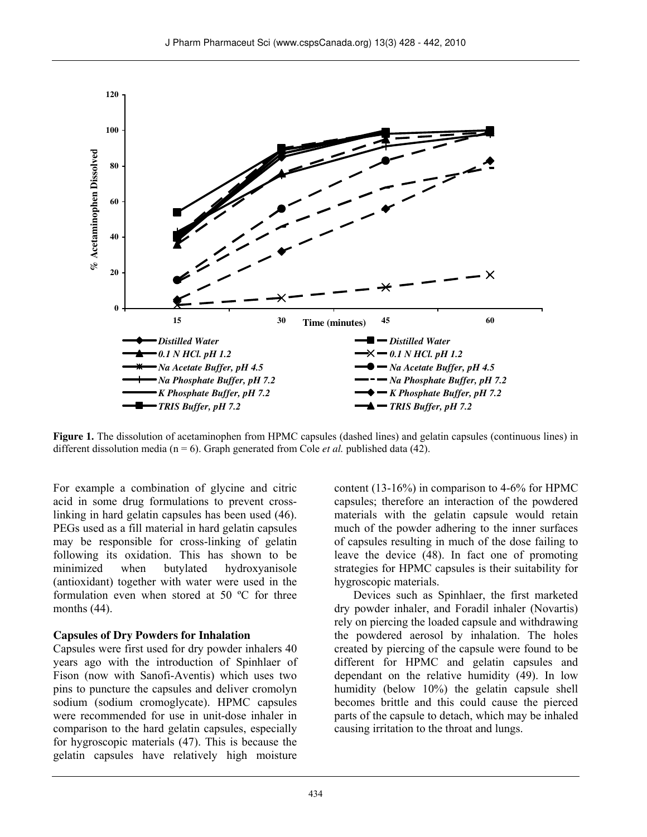

**Figure 1.** The dissolution of acetaminophen from HPMC capsules (dashed lines) and gelatin capsules (continuous lines) in different dissolution media ( $n = 6$ ). Graph generated from Cole *et al.* published data (42).

For example a combination of glycine and citric acid in some drug formulations to prevent crosslinking in hard gelatin capsules has been used (46). PEGs used as a fill material in hard gelatin capsules may be responsible for cross-linking of gelatin following its oxidation. This has shown to be minimized when butylated hydroxyanisole (antioxidant) together with water were used in the formulation even when stored at 50 ºC for three months (44).

#### **Capsules of Dry Powders for Inhalation**

Capsules were first used for dry powder inhalers 40 years ago with the introduction of Spinhlaer of Fison (now with Sanofi-Aventis) which uses two pins to puncture the capsules and deliver cromolyn sodium (sodium cromoglycate). HPMC capsules were recommended for use in unit-dose inhaler in comparison to the hard gelatin capsules, especially for hygroscopic materials (47). This is because the gelatin capsules have relatively high moisture content (13-16%) in comparison to 4-6% for HPMC capsules; therefore an interaction of the powdered materials with the gelatin capsule would retain much of the powder adhering to the inner surfaces of capsules resulting in much of the dose failing to leave the device (48). In fact one of promoting strategies for HPMC capsules is their suitability for hygroscopic materials.

Devices such as Spinhlaer, the first marketed dry powder inhaler, and Foradil inhaler (Novartis) rely on piercing the loaded capsule and withdrawing the powdered aerosol by inhalation. The holes created by piercing of the capsule were found to be different for HPMC and gelatin capsules and dependant on the relative humidity (49). In low humidity (below 10%) the gelatin capsule shell becomes brittle and this could cause the pierced parts of the capsule to detach, which may be inhaled causing irritation to the throat and lungs.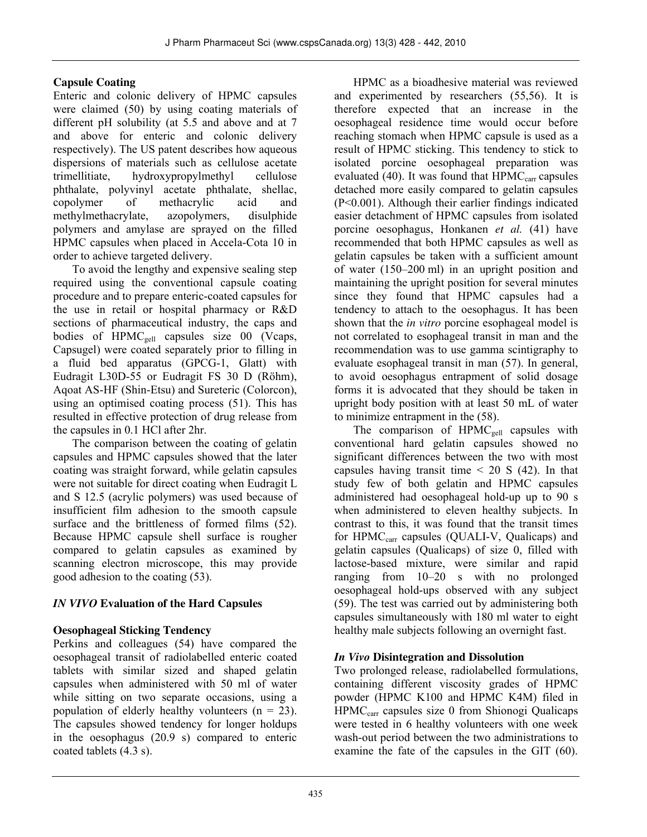### **Capsule Coating**

Enteric and colonic delivery of HPMC capsules were claimed (50) by using coating materials of different pH solubility (at 5.5 and above and at 7 and above for enteric and colonic delivery respectively). The US patent describes how aqueous dispersions of materials such as cellulose acetate trimellitiate, hydroxypropylmethyl cellulose phthalate, polyvinyl acetate phthalate, shellac, copolymer of methacrylic acid and methylmethacrylate, azopolymers, disulphide polymers and amylase are sprayed on the filled HPMC capsules when placed in Accela-Cota 10 in order to achieve targeted delivery.

To avoid the lengthy and expensive sealing step required using the conventional capsule coating procedure and to prepare enteric-coated capsules for the use in retail or hospital pharmacy or R&D sections of pharmaceutical industry, the caps and bodies of HPMC<sub>gell</sub> capsules size 00 (Vcaps, Capsugel) were coated separately prior to filling in a fluid bed apparatus (GPCG-1, Glatt) with Eudragit L30D-55 or Eudragit FS 30 D (Röhm), Aqoat AS-HF (Shin-Etsu) and Sureteric (Colorcon), using an optimised coating process (51). This has resulted in effective protection of drug release from the capsules in 0.1 HCl after 2hr.

The comparison between the coating of gelatin capsules and HPMC capsules showed that the later coating was straight forward, while gelatin capsules were not suitable for direct coating when Eudragit L and S 12.5 (acrylic polymers) was used because of insufficient film adhesion to the smooth capsule surface and the brittleness of formed films (52). Because HPMC capsule shell surface is rougher compared to gelatin capsules as examined by scanning electron microscope, this may provide good adhesion to the coating (53).

# *IN VIVO* **Evaluation of the Hard Capsules**

# **Oesophageal Sticking Tendency**

Perkins and colleagues (54) have compared the oesophageal transit of radiolabelled enteric coated tablets with similar sized and shaped gelatin capsules when administered with 50 ml of water while sitting on two separate occasions, using a population of elderly healthy volunteers  $(n = 23)$ . The capsules showed tendency for longer holdups in the oesophagus (20.9 s) compared to enteric coated tablets (4.3 s).

HPMC as a bioadhesive material was reviewed and experimented by researchers (55,56). It is therefore expected that an increase in the oesophageal residence time would occur before reaching stomach when HPMC capsule is used as a result of HPMC sticking. This tendency to stick to isolated porcine oesophageal preparation was evaluated (40). It was found that  $HPMC<sub>car</sub>$  capsules detached more easily compared to gelatin capsules (P<0.001). Although their earlier findings indicated easier detachment of HPMC capsules from isolated porcine oesophagus, Honkanen *et al.* (41) have recommended that both HPMC capsules as well as gelatin capsules be taken with a sufficient amount of water (150–200 ml) in an upright position and maintaining the upright position for several minutes since they found that HPMC capsules had a tendency to attach to the oesophagus. It has been shown that the *in vitro* porcine esophageal model is not correlated to esophageal transit in man and the recommendation was to use gamma scintigraphy to evaluate esophageal transit in man (57). In general, to avoid oesophagus entrapment of solid dosage forms it is advocated that they should be taken in upright body position with at least 50 mL of water to minimize entrapment in the (58).

The comparison of HPMC<sub>gell</sub> capsules with conventional hard gelatin capsules showed no significant differences between the two with most capsules having transit time  $\leq$  20 S (42). In that study few of both gelatin and HPMC capsules administered had oesophageal hold-up up to 90 s when administered to eleven healthy subjects. In contrast to this, it was found that the transit times for HPMC<sub>carr</sub> capsules (QUALI-V, Qualicaps) and gelatin capsules (Qualicaps) of size 0, filled with lactose-based mixture, were similar and rapid ranging from 10–20 s with no prolonged oesophageal hold-ups observed with any subject (59). The test was carried out by administering both capsules simultaneously with 180 ml water to eight healthy male subjects following an overnight fast.

# *In Vivo* **Disintegration and Dissolution**

Two prolonged release, radiolabelled formulations, containing different viscosity grades of HPMC powder (HPMC K100 and HPMC K4M) filed in  $HPMC<sub>car</sub>$  capsules size 0 from Shionogi Qualicaps were tested in 6 healthy volunteers with one week wash-out period between the two administrations to examine the fate of the capsules in the GIT (60).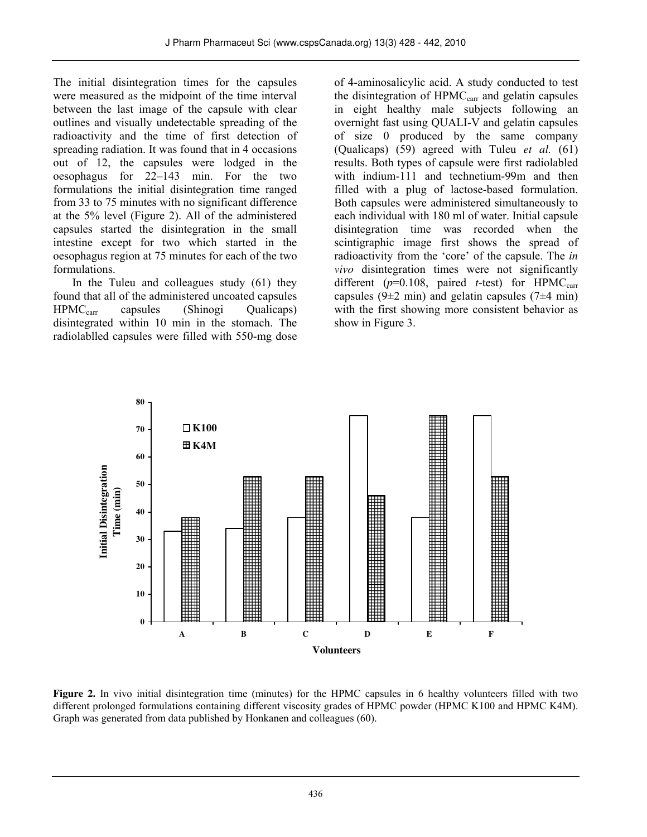The initial disintegration times for the capsules were measured as the midpoint of the time interval between the last image of the capsule with clear outlines and visually undetectable spreading of the radioactivity and the time of first detection of spreading radiation. It was found that in 4 occasions out of 12, the capsules were lodged in the oesophagus for 22–143 min. For the two formulations the initial disintegration time ranged from 33 to 75 minutes with no significant difference at the 5% level (Figure 2). All of the administered capsules started the disintegration in the small intestine except for two which started in the oesophagus region at 75 minutes for each of the two formulations.

In the Tuleu and colleagues study (61) they found that all of the administered uncoated capsules HPMC<sub>carr</sub> capsules (Shinogi Qualicaps) disintegrated within 10 min in the stomach. The radiolablled capsules were filled with 550-mg dose

of 4-aminosalicylic acid. A study conducted to test the disintegration of  $HPMC<sub>carr</sub>$  and gelatin capsules in eight healthy male subjects following an overnight fast using QUALI-V and gelatin capsules of size 0 produced by the same company (Qualicaps) (59) agreed with Tuleu *et al.* (61) results. Both types of capsule were first radiolabled with indium-111 and technetium-99m and then filled with a plug of lactose-based formulation. Both capsules were administered simultaneously to each individual with 180 ml of water. Initial capsule disintegration time was recorded when the scintigraphic image first shows the spread of radioactivity from the 'core' of the capsule. The *in vivo* disintegration times were not significantly different ( $p=0.108$ , paired *t*-test) for HPMC<sub>carr</sub> capsules (9 $\pm$ 2 min) and gelatin capsules (7 $\pm$ 4 min) with the first showing more consistent behavior as show in Figure 3.



**Figure 2.** In vivo initial disintegration time (minutes) for the HPMC capsules in 6 healthy volunteers filled with two different prolonged formulations containing different viscosity grades of HPMC powder (HPMC K100 and HPMC K4M). Graph was generated from data published by Honkanen and colleagues (60).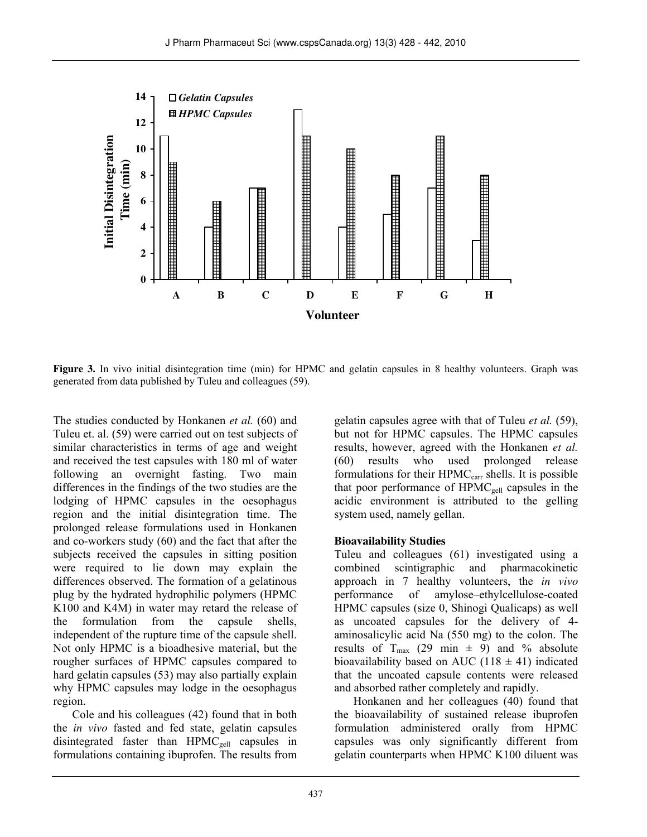

**Figure 3.** In vivo initial disintegration time (min) for HPMC and gelatin capsules in 8 healthy volunteers. Graph was generated from data published by Tuleu and colleagues (59).

The studies conducted by Honkanen *et al.* (60) and Tuleu et. al. (59) were carried out on test subjects of similar characteristics in terms of age and weight and received the test capsules with 180 ml of water following an overnight fasting. Two main differences in the findings of the two studies are the lodging of HPMC capsules in the oesophagus region and the initial disintegration time. The prolonged release formulations used in Honkanen and co-workers study (60) and the fact that after the subjects received the capsules in sitting position were required to lie down may explain the differences observed. The formation of a gelatinous plug by the hydrated hydrophilic polymers (HPMC K100 and K4M) in water may retard the release of the formulation from the capsule shells, independent of the rupture time of the capsule shell. Not only HPMC is a bioadhesive material, but the rougher surfaces of HPMC capsules compared to hard gelatin capsules (53) may also partially explain why HPMC capsules may lodge in the oesophagus region.

Cole and his colleagues (42) found that in both the *in vivo* fasted and fed state, gelatin capsules disintegrated faster than HPMC<sub>gell</sub> capsules in formulations containing ibuprofen. The results from gelatin capsules agree with that of Tuleu *et al.* (59), but not for HPMC capsules. The HPMC capsules results, however, agreed with the Honkanen *et al.* (60) results who used prolonged release formulations for their HPMC<sub>carr</sub> shells. It is possible that poor performance of  $HPMC<sub>gel</sub>$  capsules in the acidic environment is attributed to the gelling system used, namely gellan.

### **Bioavailability Studies**

Tuleu and colleagues (61) investigated using a combined scintigraphic and pharmacokinetic approach in 7 healthy volunteers, the *in vivo* performance of amylose–ethylcellulose-coated HPMC capsules (size 0, Shinogi Qualicaps) as well as uncoated capsules for the delivery of 4 aminosalicylic acid Na (550 mg) to the colon. The results of T<sub>max</sub> (29 min  $\pm$  9) and % absolute bioavailability based on AUC (118  $\pm$  41) indicated that the uncoated capsule contents were released and absorbed rather completely and rapidly.

Honkanen and her colleagues (40) found that the bioavailability of sustained release ibuprofen formulation administered orally from HPMC capsules was only significantly different from gelatin counterparts when HPMC K100 diluent was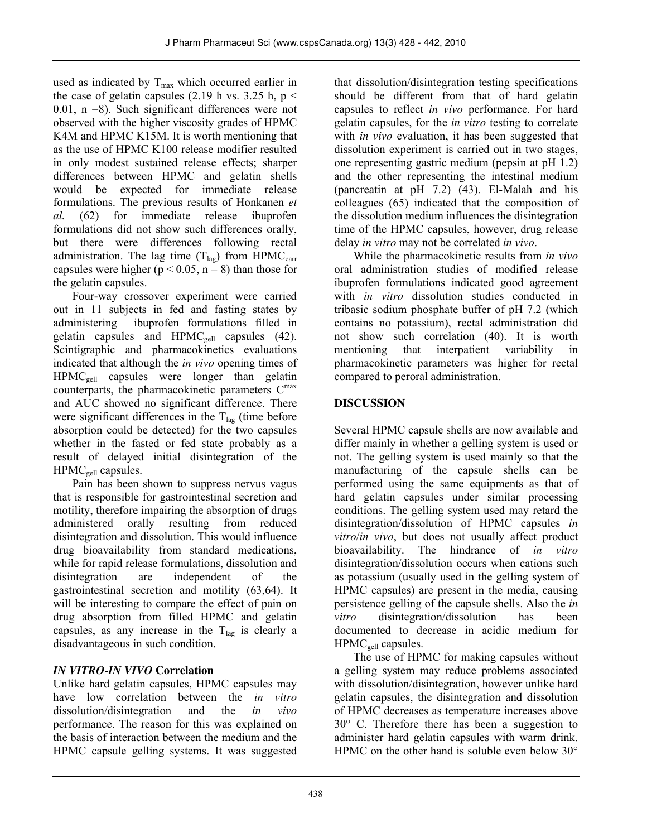used as indicated by  $T_{\text{max}}$  which occurred earlier in the case of gelatin capsules (2.19 h vs. 3.25 h,  $p <$ 0.01, n =8). Such significant differences were not observed with the higher viscosity grades of HPMC K4M and HPMC K15M. It is worth mentioning that as the use of HPMC K100 release modifier resulted in only modest sustained release effects; sharper differences between HPMC and gelatin shells would be expected for immediate release formulations. The previous results of Honkanen *et al.* (62) for immediate release ibuprofen formulations did not show such differences orally, but there were differences following rectal administration. The lag time  $(T<sub>las</sub>)$  from HPMC<sub>carr</sub> capsules were higher ( $p < 0.05$ ,  $n = 8$ ) than those for the gelatin capsules.

Four-way crossover experiment were carried out in 11 subjects in fed and fasting states by administering ibuprofen formulations filled in gelatin capsules and  $HPMC<sub>gel</sub>$  capsules (42). Scintigraphic and pharmacokinetics evaluations indicated that although the *in vivo* opening times of HPMCgell capsules were longer than gelatin counterparts, the pharmacokinetic parameters C<sup>max</sup> and AUC showed no significant difference. There were significant differences in the  $T_{\text{lag}}$  (time before absorption could be detected) for the two capsules whether in the fasted or fed state probably as a result of delayed initial disintegration of the HPMC<sub>gell</sub> capsules.

Pain has been shown to suppress nervus vagus that is responsible for gastrointestinal secretion and motility, therefore impairing the absorption of drugs administered orally resulting from reduced disintegration and dissolution. This would influence drug bioavailability from standard medications, while for rapid release formulations, dissolution and disintegration are independent of the gastrointestinal secretion and motility (63,64). It will be interesting to compare the effect of pain on drug absorption from filled HPMC and gelatin capsules, as any increase in the  $T_{lag}$  is clearly a disadvantageous in such condition.

# *IN VITRO***-***IN VIVO* **Correlation**

Unlike hard gelatin capsules, HPMC capsules may have low correlation between the *in vitro* dissolution/disintegration and the *in vivo* performance. The reason for this was explained on the basis of interaction between the medium and the HPMC capsule gelling systems. It was suggested that dissolution/disintegration testing specifications should be different from that of hard gelatin capsules to reflect *in vivo* performance. For hard gelatin capsules, for the *in vitro* testing to correlate with *in vivo* evaluation, it has been suggested that dissolution experiment is carried out in two stages, one representing gastric medium (pepsin at pH 1.2) and the other representing the intestinal medium (pancreatin at pH 7.2) (43). El-Malah and his colleagues (65) indicated that the composition of the dissolution medium influences the disintegration time of the HPMC capsules, however, drug release delay *in vitro* may not be correlated *in vivo*.

While the pharmacokinetic results from *in vivo* oral administration studies of modified release ibuprofen formulations indicated good agreement with *in vitro* dissolution studies conducted in tribasic sodium phosphate buffer of pH 7.2 (which contains no potassium), rectal administration did not show such correlation (40). It is worth mentioning that interpatient variability in pharmacokinetic parameters was higher for rectal compared to peroral administration.

# **DISCUSSION**

Several HPMC capsule shells are now available and differ mainly in whether a gelling system is used or not. The gelling system is used mainly so that the manufacturing of the capsule shells can be performed using the same equipments as that of hard gelatin capsules under similar processing conditions. The gelling system used may retard the disintegration/dissolution of HPMC capsules *in vitro*/*in vivo*, but does not usually affect product bioavailability. The hindrance of *in vitro* disintegration/dissolution occurs when cations such as potassium (usually used in the gelling system of HPMC capsules) are present in the media, causing persistence gelling of the capsule shells. Also the *in vitro* disintegration/dissolution has been documented to decrease in acidic medium for HPMC<sub>gell</sub> capsules.

The use of HPMC for making capsules without a gelling system may reduce problems associated with dissolution/disintegration, however unlike hard gelatin capsules, the disintegration and dissolution of HPMC decreases as temperature increases above 30° C. Therefore there has been a suggestion to administer hard gelatin capsules with warm drink. HPMC on the other hand is soluble even below 30°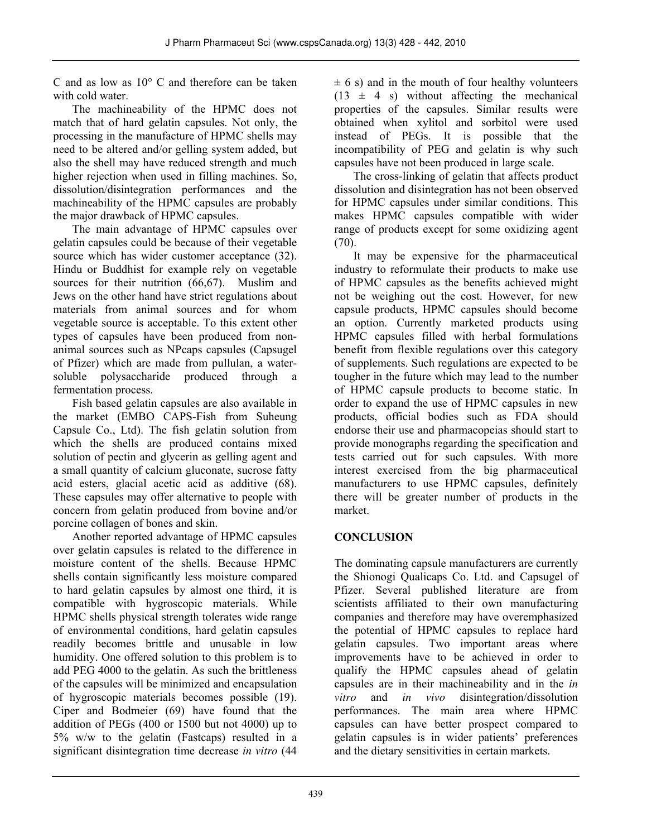C and as low as 10° C and therefore can be taken with cold water.

The machineability of the HPMC does not match that of hard gelatin capsules. Not only, the processing in the manufacture of HPMC shells may need to be altered and/or gelling system added, but also the shell may have reduced strength and much higher rejection when used in filling machines. So, dissolution/disintegration performances and the machineability of the HPMC capsules are probably the major drawback of HPMC capsules.

The main advantage of HPMC capsules over gelatin capsules could be because of their vegetable source which has wider customer acceptance (32). Hindu or Buddhist for example rely on vegetable sources for their nutrition  $(66,67)$ . Muslim and Jews on the other hand have strict regulations about materials from animal sources and for whom vegetable source is acceptable. To this extent other types of capsules have been produced from nonanimal sources such as NPcaps capsules (Capsugel of Pfizer) which are made from pullulan, a watersoluble polysaccharide produced through a fermentation process.

Fish based gelatin capsules are also available in the market (EMBO CAPS-Fish from Suheung Capsule Co., Ltd). The fish gelatin solution from which the shells are produced contains mixed solution of pectin and glycerin as gelling agent and a small quantity of calcium gluconate, sucrose fatty acid esters, glacial acetic acid as additive (68). These capsules may offer alternative to people with concern from gelatin produced from bovine and/or porcine collagen of bones and skin.

Another reported advantage of HPMC capsules over gelatin capsules is related to the difference in moisture content of the shells. Because HPMC shells contain significantly less moisture compared to hard gelatin capsules by almost one third, it is compatible with hygroscopic materials. While HPMC shells physical strength tolerates wide range of environmental conditions, hard gelatin capsules readily becomes brittle and unusable in low humidity. One offered solution to this problem is to add PEG 4000 to the gelatin. As such the brittleness of the capsules will be minimized and encapsulation of hygroscopic materials becomes possible (19). Ciper and Bodmeier (69) have found that the addition of PEGs (400 or 1500 but not 4000) up to 5% w/w to the gelatin (Fastcaps) resulted in a significant disintegration time decrease *in vitro* (44

 $\pm$  6 s) and in the mouth of four healthy volunteers  $(13 \pm 4 \text{ s})$  without affecting the mechanical properties of the capsules. Similar results were obtained when xylitol and sorbitol were used instead of PEGs. It is possible that the incompatibility of PEG and gelatin is why such capsules have not been produced in large scale.

The cross-linking of gelatin that affects product dissolution and disintegration has not been observed for HPMC capsules under similar conditions. This makes HPMC capsules compatible with wider range of products except for some oxidizing agent  $(70)$ .

It may be expensive for the pharmaceutical industry to reformulate their products to make use of HPMC capsules as the benefits achieved might not be weighing out the cost. However, for new capsule products, HPMC capsules should become an option. Currently marketed products using HPMC capsules filled with herbal formulations benefit from flexible regulations over this category of supplements. Such regulations are expected to be tougher in the future which may lead to the number of HPMC capsule products to become static. In order to expand the use of HPMC capsules in new products, official bodies such as FDA should endorse their use and pharmacopeias should start to provide monographs regarding the specification and tests carried out for such capsules. With more interest exercised from the big pharmaceutical manufacturers to use HPMC capsules, definitely there will be greater number of products in the market.

# **CONCLUSION**

The dominating capsule manufacturers are currently the Shionogi Qualicaps Co. Ltd. and Capsugel of Pfizer. Several published literature are from scientists affiliated to their own manufacturing companies and therefore may have overemphasized the potential of HPMC capsules to replace hard gelatin capsules. Two important areas where improvements have to be achieved in order to qualify the HPMC capsules ahead of gelatin capsules are in their machineability and in the *in vitro* and *in vivo* disintegration/dissolution performances. The main area where HPMC capsules can have better prospect compared to gelatin capsules is in wider patients' preferences and the dietary sensitivities in certain markets.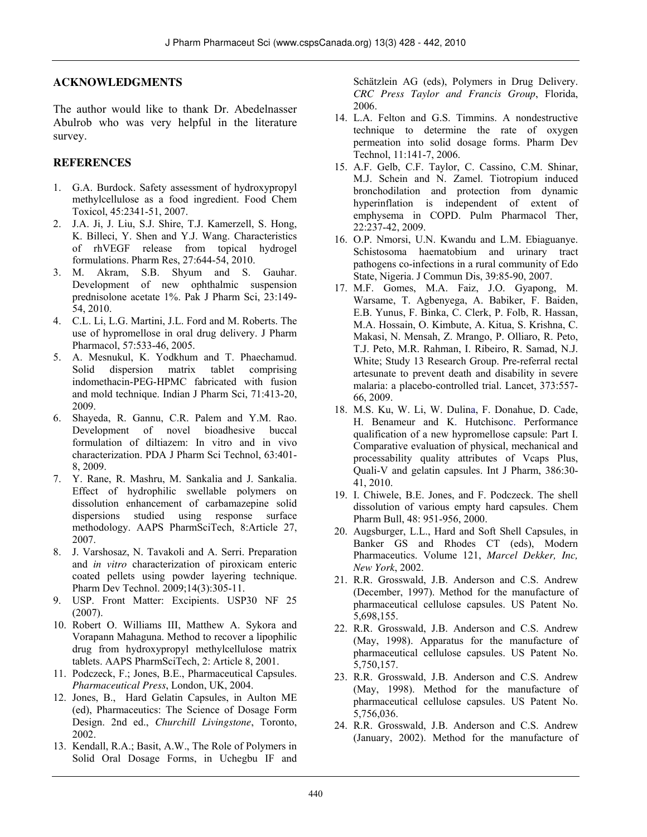#### **ACKNOWLEDGMENTS**

The author would like to thank Dr. Abedelnasser Abulrob who was very helpful in the literature survey.

### **REFERENCES**

- 1. G.A. Burdock. Safety assessment of hydroxypropyl methylcellulose as a food ingredient. Food Chem Toxicol, 45:2341-51, 2007.
- 2. J.A. Ji, J. Liu, S.J. Shire, T.J. Kamerzell, S. Hong, K. Billeci, Y. Shen and Y.J. Wang. Characteristics of rhVEGF release from topical hydrogel formulations. Pharm Res, 27:644-54, 2010.
- 3. M. Akram, S.B. Shyum and S. Gauhar. Development of new ophthalmic suspension prednisolone acetate 1%. Pak J Pharm Sci, 23:149- 54, 2010.
- 4. C.L. Li, L.G. Martini, J.L. Ford and M. Roberts. The use of hypromellose in oral drug delivery. J Pharm Pharmacol, 57:533-46, 2005.
- 5. A. Mesnukul, K. Yodkhum and T. Phaechamud. Solid dispersion matrix tablet comprising indomethacin-PEG-HPMC fabricated with fusion and mold technique. Indian J Pharm Sci, 71:413-20, 2009.
- 6. Shayeda, R. Gannu, C.R. Palem and Y.M. Rao. Development of novel bioadhesive buccal formulation of diltiazem: In vitro and in vivo characterization. PDA J Pharm Sci Technol, 63:401- 8, 2009.
- 7. Y. Rane, R. Mashru, M. Sankalia and J. Sankalia. Effect of hydrophilic swellable polymers on dissolution enhancement of carbamazepine solid dispersions studied using response surface methodology. AAPS PharmSciTech, 8:Article 27, 2007.
- 8. J. Varshosaz, N. Tavakoli and A. Serri. Preparation and *in vitro* characterization of piroxicam enteric coated pellets using powder layering technique. Pharm Dev Technol. 2009;14(3):305-11.
- 9. USP. Front Matter: Excipients. USP30 NF 25 (2007).
- 10. Robert O. Williams III, Matthew A. Sykora and Vorapann Mahaguna. Method to recover a lipophilic drug from hydroxypropyl methylcellulose matrix tablets. AAPS PharmSciTech, 2: Article 8, 2001.
- 11. Podczeck, F.; Jones, B.E., Pharmaceutical Capsules. *Pharmaceutical Press*, London, UK, 2004.
- 12. Jones, B., Hard Gelatin Capsules, in Aulton ME (ed), Pharmaceutics: The Science of Dosage Form Design. 2nd ed., *Churchill Livingstone*, Toronto, 2002.
- 13. Kendall, R.A.; Basit, A.W., The Role of Polymers in Solid Oral Dosage Forms, in Uchegbu IF and

Schätzlein AG (eds), Polymers in Drug Delivery. *CRC Press Taylor and Francis Group*, Florida, 2006.

- 14. L.A. Felton and G.S. Timmins. A nondestructive technique to determine the rate of oxygen permeation into solid dosage forms. Pharm Dev Technol, 11:141-7, 2006.
- 15. A.F. Gelb, C.F. Taylor, C. Cassino, C.M. Shinar, M.J. Schein and N. Zamel. Tiotropium induced bronchodilation and protection from dynamic hyperinflation is independent of extent of emphysema in COPD. Pulm Pharmacol Ther, 22:237-42, 2009.
- 16. O.P. Nmorsi, U.N. Kwandu and L.M. Ebiaguanye. Schistosoma haematobium and urinary tract pathogens co-infections in a rural community of Edo State, Nigeria. J Commun Dis, 39:85-90, 2007.
- 17. M.F. Gomes, M.A. Faiz, J.O. Gyapong, M. Warsame, T. Agbenyega, A. Babiker, F. Baiden, E.B. Yunus, F. Binka, C. Clerk, P. Folb, R. Hassan, M.A. Hossain, O. Kimbute, A. Kitua, S. Krishna, C. Makasi, N. Mensah, Z. Mrango, P. Olliaro, R. Peto, T.J. Peto, M.R. Rahman, I. Ribeiro, R. Samad, N.J. White; Study 13 Research Group. Pre-referral rectal artesunate to prevent death and disability in severe malaria: a placebo-controlled trial. Lancet, 373:557- 66, 2009.
- 18. M.S. Ku, W. Li, W. Dulina, F. Donahue, D. Cade, H. Benameur and K. Hutchisonc. Performance qualification of a new hypromellose capsule: Part I. Comparative evaluation of physical, mechanical and processability quality attributes of Vcaps Plus, Quali-V and gelatin capsules. Int J Pharm, 386:30- 41, 2010.
- 19. I. Chiwele, B.E. Jones, and F. Podczeck. The shell dissolution of various empty hard capsules. Chem Pharm Bull, 48: 951-956, 2000.
- 20. Augsburger, L.L., Hard and Soft Shell Capsules, in Banker GS and Rhodes CT (eds), Modern Pharmaceutics. Volume 121, *Marcel Dekker, Inc, New York*, 2002.
- 21. R.R. Grosswald, J.B. Anderson and C.S. Andrew (December, 1997). Method for the manufacture of pharmaceutical cellulose capsules. US Patent No. 5,698,155.
- 22. R.R. Grosswald, J.B. Anderson and C.S. Andrew (May, 1998). Apparatus for the manufacture of pharmaceutical cellulose capsules. US Patent No. 5,750,157.
- 23. R.R. Grosswald, J.B. Anderson and C.S. Andrew (May, 1998). Method for the manufacture of pharmaceutical cellulose capsules. US Patent No. 5,756,036.
- 24. R.R. Grosswald, J.B. Anderson and C.S. Andrew (January, 2002). Method for the manufacture of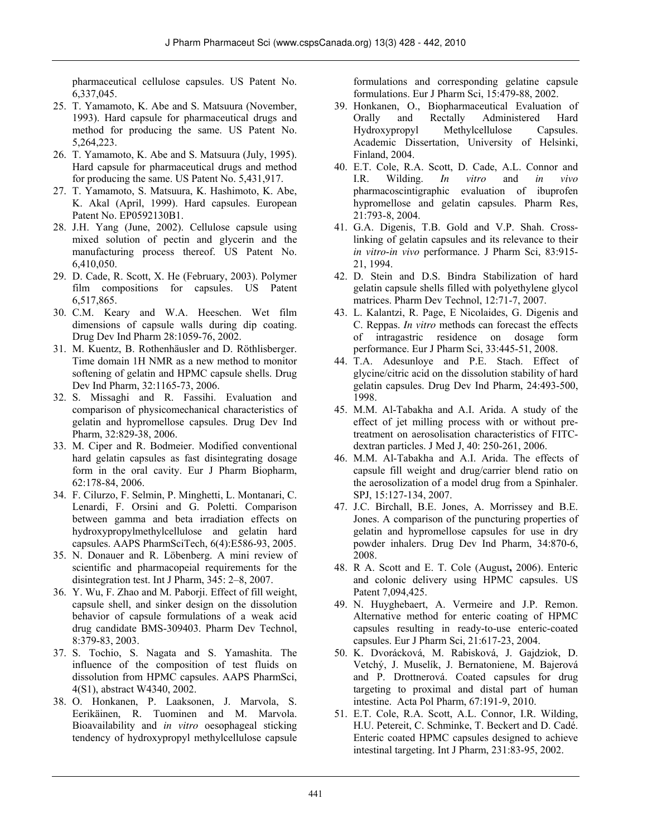pharmaceutical cellulose capsules. US Patent No. 6,337,045.

- 25. T. Yamamoto, K. Abe and S. Matsuura (November, 1993). Hard capsule for pharmaceutical drugs and method for producing the same. US Patent No. 5,264,223.
- 26. T. Yamamoto, K. Abe and S. Matsuura (July, 1995). Hard capsule for pharmaceutical drugs and method for producing the same. US Patent No. 5,431,917.
- 27. T. Yamamoto, S. Matsuura, K. Hashimoto, K. Abe, K. Akal (April, 1999). Hard capsules. European Patent No. EP0592130B1.
- 28. J.H. Yang (June, 2002). Cellulose capsule using mixed solution of pectin and glycerin and the manufacturing process thereof. US Patent No. 6,410,050.
- 29. D. Cade, R. Scott, X. He (February, 2003). Polymer film compositions for capsules. US Patent 6,517,865.
- 30. C.M. Keary and W.A. Heeschen. Wet film dimensions of capsule walls during dip coating. Drug Dev Ind Pharm 28:1059-76, 2002.
- 31. M. Kuentz, B. Rothenhäusler and D. Röthlisberger. Time domain 1H NMR as a new method to monitor softening of gelatin and HPMC capsule shells. Drug Dev Ind Pharm, 32:1165-73, 2006.
- 32. S. Missaghi and R. Fassihi. Evaluation and comparison of physicomechanical characteristics of gelatin and hypromellose capsules. Drug Dev Ind Pharm, 32:829-38, 2006.
- 33. M. Ciper and R. Bodmeier. Modified conventional hard gelatin capsules as fast disintegrating dosage form in the oral cavity. Eur J Pharm Biopharm, 62:178-84, 2006.
- 34. F. Cilurzo, F. Selmin, P. Minghetti, L. Montanari, C. Lenardi, F. Orsini and G. Poletti. Comparison between gamma and beta irradiation effects on hydroxypropylmethylcellulose and gelatin hard capsules. AAPS PharmSciTech, 6(4):E586-93, 2005.
- 35. N. Donauer and R. Löbenberg. A mini review of scientific and pharmacopeial requirements for the disintegration test. Int J Pharm, 345: 2–8, 2007.
- 36. Y. Wu, F. Zhao and M. Paborji. Effect of fill weight, capsule shell, and sinker design on the dissolution behavior of capsule formulations of a weak acid drug candidate BMS-309403. Pharm Dev Technol, 8:379-83, 2003.
- 37. S. Tochio, S. Nagata and S. Yamashita. The influence of the composition of test fluids on dissolution from HPMC capsules. AAPS PharmSci, 4(S1), abstract W4340, 2002.
- 38. O. Honkanen, P. Laaksonen, J. Marvola, S. Eerikäinen, R. Tuominen and M. Marvola. Bioavailability and *in vitro* oesophageal sticking tendency of hydroxypropyl methylcellulose capsule

formulations and corresponding gelatine capsule formulations. Eur J Pharm Sci, 15:479-88, 2002.

- 39. Honkanen, O., Biopharmaceutical Evaluation of Orally and Rectally Administered Hard Hydroxypropyl Methylcellulose Capsules. Academic Dissertation, University of Helsinki, Finland, 2004.
- 40. E.T. Cole, R.A. Scott, D. Cade, A.L. Connor and I.R. Wilding. *In vitro* and *in vivo* pharmacoscintigraphic evaluation of ibuprofen hypromellose and gelatin capsules. Pharm Res, 21:793-8, 2004.
- 41. G.A. Digenis, T.B. Gold and V.P. Shah. Crosslinking of gelatin capsules and its relevance to their *in vitro*-*in vivo* performance. J Pharm Sci, 83:915- 21, 1994.
- 42. D. Stein and D.S. Bindra Stabilization of hard gelatin capsule shells filled with polyethylene glycol matrices. Pharm Dev Technol, 12:71-7, 2007.
- 43. L. Kalantzi, R. Page, E Nicolaides, G. Digenis and C. Reppas. *In vitro* methods can forecast the effects of intragastric residence on dosage form performance. Eur J Pharm Sci, 33:445-51, 2008.
- 44. T.A. Adesunloye and P.E. Stach. Effect of glycine/citric acid on the dissolution stability of hard gelatin capsules. Drug Dev Ind Pharm, 24:493-500, 1998.
- 45. M.M. Al-Tabakha and A.I. Arida. A study of the effect of jet milling process with or without pretreatment on aerosolisation characteristics of FITCdextran particles. J Med J, 40: 250-261, 2006.
- 46. M.M. Al-Tabakha and A.I. Arida. The effects of capsule fill weight and drug/carrier blend ratio on the aerosolization of a model drug from a Spinhaler. SPJ, 15:127-134, 2007.
- 47. J.C. Birchall, B.E. Jones, A. Morrissey and B.E. Jones. A comparison of the puncturing properties of gelatin and hypromellose capsules for use in dry powder inhalers. Drug Dev Ind Pharm, 34:870-6, 2008.
- 48. R A. Scott and E. T. Cole (August**,** 2006). Enteric and colonic delivery using HPMC capsules. US Patent 7,094,425.
- 49. N. Huyghebaert, A. Vermeire and J.P. Remon. Alternative method for enteric coating of HPMC capsules resulting in ready-to-use enteric-coated capsules. Eur J Pharm Sci, 21:617-23, 2004.
- 50. K. Dvorácková, M. Rabisková, J. Gajdziok, D. Vetchý, J. Muselík, J. Bernatoniene, M. Bajerová and P. Drottnerová. Coated capsules for drug targeting to proximal and distal part of human intestine. Acta Pol Pharm, 67:191-9, 2010.
- 51. E.T. Cole, R.A. Scott, A.L. Connor, I.R. Wilding, H.U. Petereit, C. Schminke, T. Beckert and D. Cadé. Enteric coated HPMC capsules designed to achieve intestinal targeting. Int J Pharm, 231:83-95, 2002.